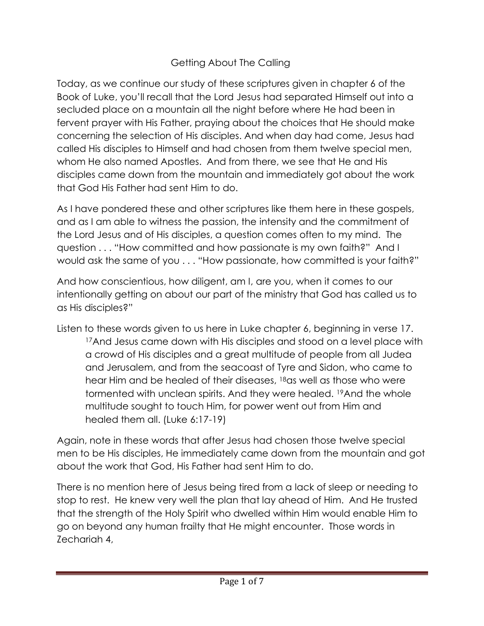## Getting About The Calling

Today, as we continue our study of these scriptures given in chapter 6 of the Book of Luke, you'll recall that the Lord Jesus had separated Himself out into a secluded place on a mountain all the night before where He had been in fervent prayer with His Father, praying about the choices that He should make concerning the selection of His disciples. And when day had come, Jesus had called His disciples to Himself and had chosen from them twelve special men, whom He also named Apostles. And from there, we see that He and His disciples came down from the mountain and immediately got about the work that God His Father had sent Him to do.

As I have pondered these and other scriptures like them here in these gospels, and as I am able to witness the passion, the intensity and the commitment of the Lord Jesus and of His disciples, a question comes often to my mind. The question . . . "How committed and how passionate is my own faith?" And I would ask the same of you . . . "How passionate, how committed is your faith?"

And how conscientious, how diligent, am I, are you, when it comes to our intentionally getting on about our part of the ministry that God has called us to as His disciples?"

Listen to these words given to us here in Luke chapter 6, beginning in verse 17. <sup>17</sup>And Jesus came down with His disciples and stood on a level place with a crowd of His disciples and a great multitude of people from all Judea and Jerusalem, and from the seacoast of Tyre and Sidon, who came to hear Him and be healed of their diseases, <sup>18</sup>as well as those who were tormented with unclean spirits. And they were healed. <sup>19</sup>And the whole multitude sought to touch Him, for power went out from Him and healed them all. (Luke 6:17-19)

Again, note in these words that after Jesus had chosen those twelve special men to be His disciples, He immediately came down from the mountain and got about the work that God, His Father had sent Him to do.

There is no mention here of Jesus being tired from a lack of sleep or needing to stop to rest. He knew very well the plan that lay ahead of Him. And He trusted that the strength of the Holy Spirit who dwelled within Him would enable Him to go on beyond any human frailty that He might encounter. Those words in Zechariah 4,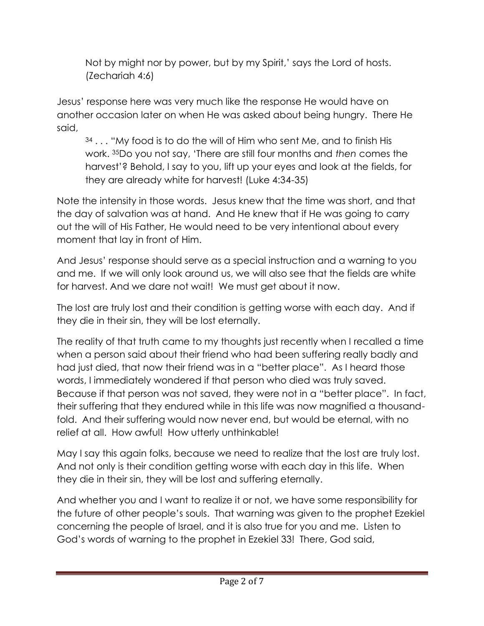Not by might nor by power, but by my Spirit,' says the Lord of hosts. (Zechariah 4:6)

Jesus' response here was very much like the response He would have on another occasion later on when He was asked about being hungry. There He said,

34 . . . "My food is to do the will of Him who sent Me, and to finish His work. <sup>35</sup>Do you not say, 'There are still four months and *then* comes the harvest'? Behold, I say to you, lift up your eyes and look at the fields, for they are already white for harvest! (Luke 4:34-35)

Note the intensity in those words. Jesus knew that the time was short, and that the day of salvation was at hand. And He knew that if He was going to carry out the will of His Father, He would need to be very intentional about every moment that lay in front of Him.

And Jesus' response should serve as a special instruction and a warning to you and me. If we will only look around us, we will also see that the fields are white for harvest. And we dare not wait! We must get about it now.

The lost are truly lost and their condition is getting worse with each day. And if they die in their sin, they will be lost eternally.

The reality of that truth came to my thoughts just recently when I recalled a time when a person said about their friend who had been suffering really badly and had just died, that now their friend was in a "better place". As I heard those words, I immediately wondered if that person who died was truly saved. Because if that person was not saved, they were not in a "better place". In fact, their suffering that they endured while in this life was now magnified a thousandfold. And their suffering would now never end, but would be eternal, with no relief at all. How awful! How utterly unthinkable!

May I say this again folks, because we need to realize that the lost are truly lost. And not only is their condition getting worse with each day in this life. When they die in their sin, they will be lost and suffering eternally.

And whether you and I want to realize it or not, we have some responsibility for the future of other people's souls. That warning was given to the prophet Ezekiel concerning the people of Israel, and it is also true for you and me. Listen to God's words of warning to the prophet in Ezekiel 33! There, God said,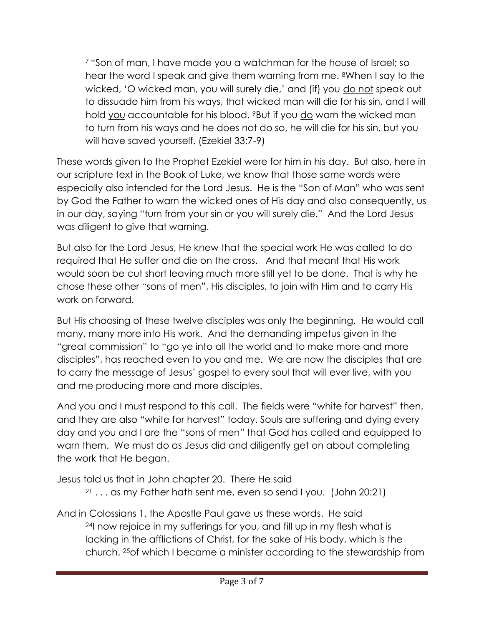<sup>7</sup> "Son of man, I have made you a watchman for the house of Israel; so hear the word I speak and give them warning from me. <sup>8</sup>When I say to the wicked, 'O wicked man, you will surely die,' and (if) you do not speak out to dissuade him from his ways, that wicked man will die for his sin, and I will hold you accountable for his blood. <sup>9</sup>But if you do warn the wicked man to turn from his ways and he does not do so, he will die for his sin, but you will have saved yourself. (Ezekiel 33:7-9)

These words given to the Prophet Ezekiel were for him in his day. But also, here in our scripture text in the Book of Luke, we know that those same words were especially also intended for the Lord Jesus. He is the "Son of Man" who was sent by God the Father to warn the wicked ones of His day and also consequently, us in our day, saying "turn from your sin or you will surely die." And the Lord Jesus was diligent to give that warning.

But also for the Lord Jesus, He knew that the special work He was called to do required that He suffer and die on the cross. And that meant that His work would soon be cut short leaving much more still yet to be done. That is why he chose these other "sons of men", His disciples, to join with Him and to carry His work on forward.

But His choosing of these twelve disciples was only the beginning. He would call many, many more into His work. And the demanding impetus given in the "great commission" to "go ye into all the world and to make more and more disciples", has reached even to you and me. We are now the disciples that are to carry the message of Jesus' gospel to every soul that will ever live, with you and me producing more and more disciples.

And you and I must respond to this call. The fields were "white for harvest" then, and they are also "white for harvest" today. Souls are suffering and dying every day and you and I are the "sons of men" that God has called and equipped to warn them. We must do as Jesus did and diligently get on about completing the work that He began.

Jesus told us that in John chapter 20. There He said

- $21$ ... as my Father hath sent me, even so send I you. (John 20:21)
- And in Colossians 1, the Apostle Paul gave us these words. He said <sup>24</sup>I now rejoice in my sufferings for you, and fill up in my flesh what is lacking in the afflictions of Christ, for the sake of His body, which is the church, <sup>25</sup>of which I became a minister according to the stewardship from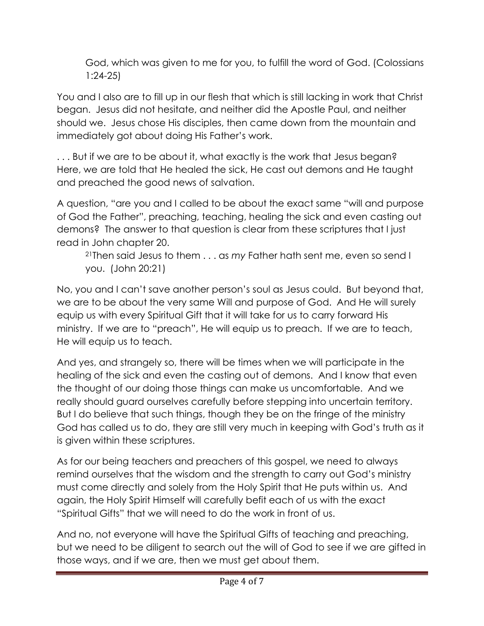God, which was given to me for you, to fulfill the word of God. (Colossians 1:24-25)

You and I also are to fill up in our flesh that which is still lacking in work that Christ began. Jesus did not hesitate, and neither did the Apostle Paul, and neither should we. Jesus chose His disciples, then came down from the mountain and immediately got about doing His Father's work.

... But if we are to be about it, what exactly is the work that Jesus began? Here, we are told that He healed the sick, He cast out demons and He taught and preached the good news of salvation.

A question, "are you and I called to be about the exact same "will and purpose of God the Father", preaching, teaching, healing the sick and even casting out demons? The answer to that question is clear from these scriptures that I just read in John chapter 20.

<sup>21</sup>Then said Jesus to them . . . as *my* Father hath sent me, even so send I you. (John 20:21)

No, you and I can't save another person's soul as Jesus could. But beyond that, we are to be about the very same Will and purpose of God. And He will surely equip us with every Spiritual Gift that it will take for us to carry forward His ministry. If we are to "preach", He will equip us to preach. If we are to teach, He will equip us to teach.

And yes, and strangely so, there will be times when we will participate in the healing of the sick and even the casting out of demons. And I know that even the thought of our doing those things can make us uncomfortable. And we really should guard ourselves carefully before stepping into uncertain territory. But I do believe that such things, though they be on the fringe of the ministry God has called us to do, they are still very much in keeping with God's truth as it is given within these scriptures.

As for our being teachers and preachers of this gospel, we need to always remind ourselves that the wisdom and the strength to carry out God's ministry must come directly and solely from the Holy Spirit that He puts within us. And again, the Holy Spirit Himself will carefully befit each of us with the exact "Spiritual Gifts" that we will need to do the work in front of us.

And no, not everyone will have the Spiritual Gifts of teaching and preaching, but we need to be diligent to search out the will of God to see if we are gifted in those ways, and if we are, then we must get about them.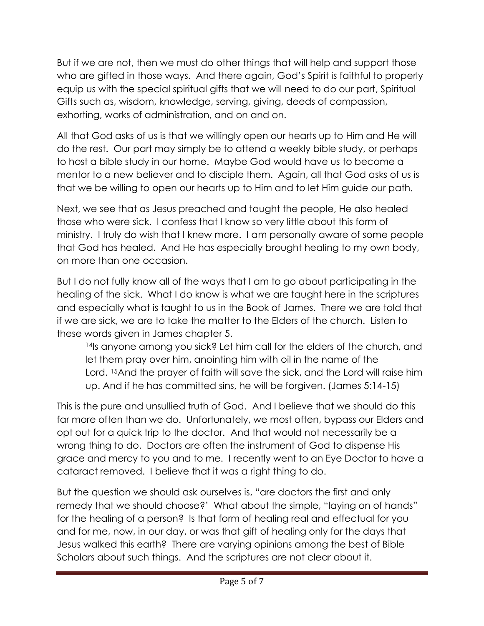But if we are not, then we must do other things that will help and support those who are gifted in those ways. And there again, God's Spirit is faithful to properly equip us with the special spiritual gifts that we will need to do our part, Spiritual Gifts such as, wisdom, knowledge, serving, giving, deeds of compassion, exhorting, works of administration, and on and on.

All that God asks of us is that we willingly open our hearts up to Him and He will do the rest. Our part may simply be to attend a weekly bible study, or perhaps to host a bible study in our home. Maybe God would have us to become a mentor to a new believer and to disciple them. Again, all that God asks of us is that we be willing to open our hearts up to Him and to let Him guide our path.

Next, we see that as Jesus preached and taught the people, He also healed those who were sick. I confess that I know so very little about this form of ministry. I truly do wish that I knew more. I am personally aware of some people that God has healed. And He has especially brought healing to my own body, on more than one occasion.

But I do not fully know all of the ways that I am to go about participating in the healing of the sick. What I do know is what we are taught here in the scriptures and especially what is taught to us in the Book of James. There we are told that if we are sick, we are to take the matter to the Elders of the church. Listen to these words given in James chapter 5.

14Is anyone among you sick? Let him call for the elders of the church, and let them pray over him, anointing him with oil in the name of the Lord. <sup>15</sup>And the prayer of faith will save the sick, and the Lord will raise him up. And if he has committed sins, he will be forgiven. (James 5:14-15)

This is the pure and unsullied truth of God. And I believe that we should do this far more often than we do. Unfortunately, we most often, bypass our Elders and opt out for a quick trip to the doctor. And that would not necessarily be a wrong thing to do. Doctors are often the instrument of God to dispense His grace and mercy to you and to me. I recently went to an Eye Doctor to have a cataract removed. I believe that it was a right thing to do.

But the question we should ask ourselves is, "are doctors the first and only remedy that we should choose?' What about the simple, "laying on of hands" for the healing of a person? Is that form of healing real and effectual for you and for me, now, in our day, or was that gift of healing only for the days that Jesus walked this earth? There are varying opinions among the best of Bible Scholars about such things. And the scriptures are not clear about it.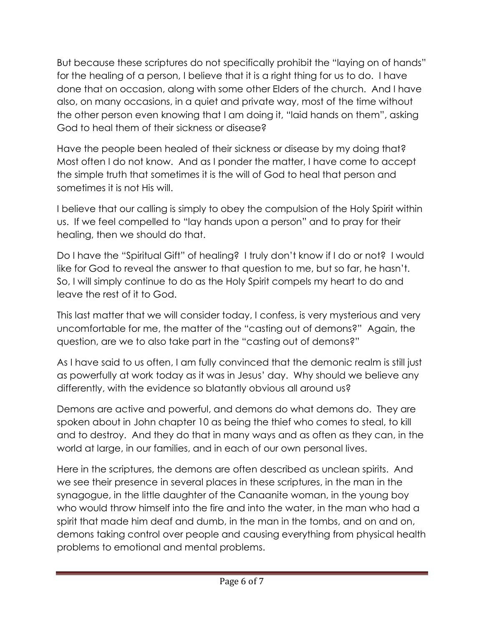But because these scriptures do not specifically prohibit the "laying on of hands" for the healing of a person, I believe that it is a right thing for us to do. I have done that on occasion, along with some other Elders of the church. And I have also, on many occasions, in a quiet and private way, most of the time without the other person even knowing that I am doing it, "laid hands on them", asking God to heal them of their sickness or disease?

Have the people been healed of their sickness or disease by my doing that? Most often I do not know. And as I ponder the matter, I have come to accept the simple truth that sometimes it is the will of God to heal that person and sometimes it is not His will.

I believe that our calling is simply to obey the compulsion of the Holy Spirit within us. If we feel compelled to "lay hands upon a person" and to pray for their healing, then we should do that.

Do I have the "Spiritual Gift" of healing? I truly don't know if I do or not? I would like for God to reveal the answer to that question to me, but so far, he hasn't. So, I will simply continue to do as the Holy Spirit compels my heart to do and leave the rest of it to God.

This last matter that we will consider today, I confess, is very mysterious and very uncomfortable for me, the matter of the "casting out of demons?" Again, the question, are we to also take part in the "casting out of demons?"

As I have said to us often, I am fully convinced that the demonic realm is still just as powerfully at work today as it was in Jesus' day. Why should we believe any differently, with the evidence so blatantly obvious all around us?

Demons are active and powerful, and demons do what demons do. They are spoken about in John chapter 10 as being the thief who comes to steal, to kill and to destroy. And they do that in many ways and as often as they can, in the world at large, in our families, and in each of our own personal lives.

Here in the scriptures, the demons are often described as unclean spirits. And we see their presence in several places in these scriptures, in the man in the synagogue, in the little daughter of the Canaanite woman, in the young boy who would throw himself into the fire and into the water, in the man who had a spirit that made him deaf and dumb, in the man in the tombs, and on and on, demons taking control over people and causing everything from physical health problems to emotional and mental problems.